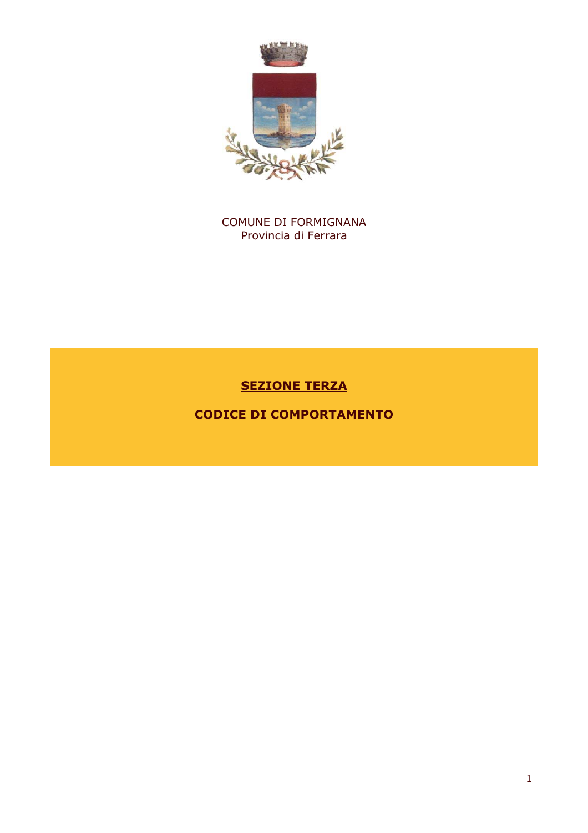

COMUNE DI FORMIGNANA Provincia di Ferrara

# **SEZIONE TERZA**

# **CODICE DI COMPORTAMENTO**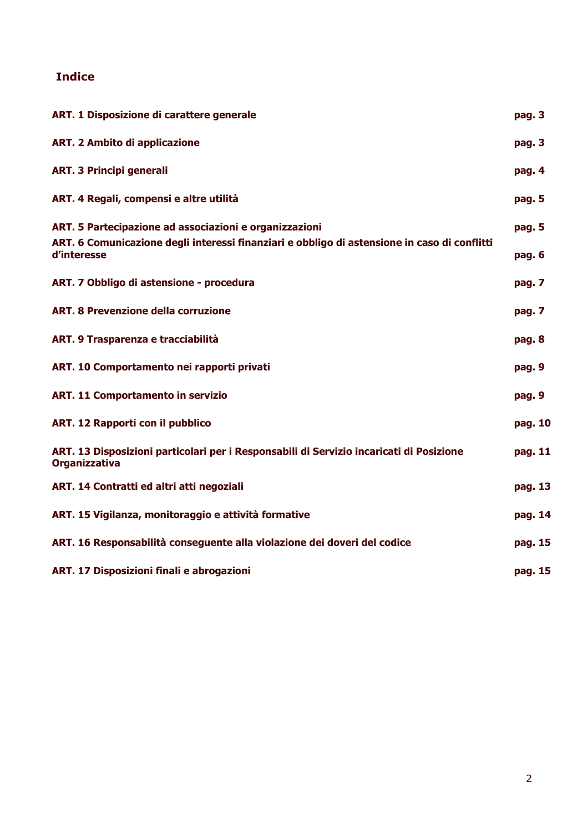# **Indice**

| <b>ART. 1 Disposizione di carattere generale</b>                                                                | pag. 3  |
|-----------------------------------------------------------------------------------------------------------------|---------|
| <b>ART. 2 Ambito di applicazione</b>                                                                            | pag. 3  |
| <b>ART. 3 Principi generali</b>                                                                                 | pag. 4  |
| ART. 4 Regali, compensi e altre utilità                                                                         | pag. 5  |
| ART. 5 Partecipazione ad associazioni e organizzazioni                                                          | pag. 5  |
| ART. 6 Comunicazione degli interessi finanziari e obbligo di astensione in caso di conflitti<br>d'interesse     | pag. 6  |
| ART. 7 Obbligo di astensione - procedura                                                                        | pag. 7  |
| <b>ART. 8 Prevenzione della corruzione</b>                                                                      | pag. 7  |
| <b>ART. 9 Trasparenza e tracciabilità</b>                                                                       | pag. 8  |
| ART. 10 Comportamento nei rapporti privati                                                                      | pag. 9  |
| <b>ART. 11 Comportamento in servizio</b>                                                                        | pag. 9  |
| <b>ART. 12 Rapporti con il pubblico</b>                                                                         | pag. 10 |
| ART. 13 Disposizioni particolari per i Responsabili di Servizio incaricati di Posizione<br><b>Organizzativa</b> | pag. 11 |
| ART. 14 Contratti ed altri atti negoziali                                                                       | pag. 13 |
| ART. 15 Vigilanza, monitoraggio e attività formative                                                            | pag. 14 |
| ART. 16 Responsabilità conseguente alla violazione dei doveri del codice                                        | pag. 15 |
| <b>ART. 17 Disposizioni finali e abrogazioni</b>                                                                | pag. 15 |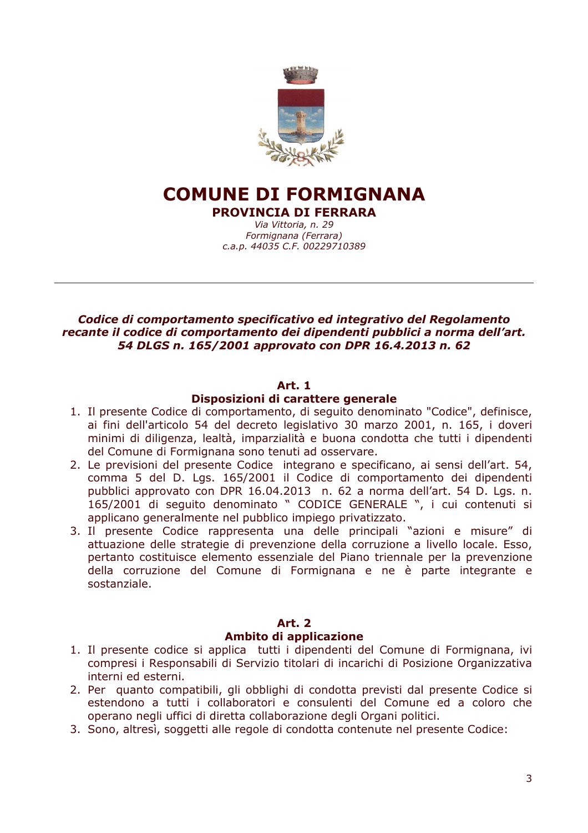

# **COMUNE DI FORMIGNANA PROVINCIA DI FERRARA**

Via Vittoria, n. 29 Formignana (Ferrara) c.a.p. 44035 C.F. 00229710389

# Codice di comportamento specificativo ed integrativo del Regolamento recante il codice di comportamento dei dipendenti pubblici a norma dell'art. 54 DLGS n. 165/2001 approvato con DPR 16.4.2013 n. 62

# **Art. 1**

# Disposizioni di carattere generale

- 1. Il presente Codice di comportamento, di seguito denominato "Codice", definisce, ai fini dell'articolo 54 del decreto legislativo 30 marzo 2001, n. 165, i doveri minimi di diligenza, lealtà, imparzialità e buona condotta che tutti i dipendenti del Comune di Formignana sono tenuti ad osservare.
- 2. Le previsioni del presente Codice integrano e specificano, ai sensi dell'art. 54, comma 5 del D. Lgs. 165/2001 il Codice di comportamento dei dipendenti pubblici approvato con DPR 16.04.2013 n. 62 a norma dell'art. 54 D. Lgs. n. 165/2001 di sequito denominato " CODICE GENERALE ", i cui contenuti si applicano generalmente nel pubblico impiego privatizzato.
- 3. Il presente Codice rappresenta una delle principali "azioni e misure" di attuazione delle strategie di prevenzione della corruzione a livello locale. Esso, pertanto costituisce elemento essenziale del Piano triennale per la prevenzione della corruzione del Comune di Formignana e ne è parte integrante e sostanziale.

# **Art. 2** Ambito di applicazione

- 1. Il presente codice si applica tutti i dipendenti del Comune di Formignana, ivi compresi i Responsabili di Servizio titolari di incarichi di Posizione Organizzativa interni ed esterni.
- 2. Per quanto compatibili, gli obblighi di condotta previsti dal presente Codice si estendono a tutti i collaboratori e consulenti del Comune ed a coloro che operano negli uffici di diretta collaborazione degli Organi politici.
- 3. Sono, altresì, soggetti alle regole di condotta contenute nel presente Codice: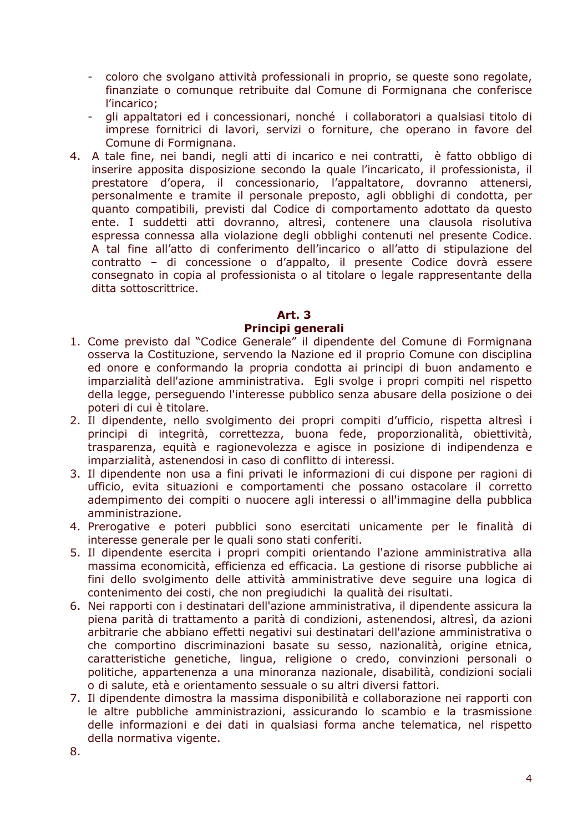- coloro che svolgano attività professionali in proprio, se queste sono regolate, finanziate o comunque retribuite dal Comune di Formignana che conferisce l'incarico;
- gli appaltatori ed i concessionari, nonché i collaboratori a qualsiasi titolo di imprese fornitrici di lavori, servizi o forniture, che operano in favore del Comune di Formignana.
- 4. A tale fine, nei bandi, negli atti di incarico e nei contratti, è fatto obbligo di inserire apposita disposizione secondo la quale l'incaricato, il professionista, il prestatore d'opera, il concessionario, l'appaltatore, dovranno attenersi, personalmente e tramite il personale preposto, agli obblighi di condotta, per quanto compatibili, previsti dal Codice di comportamento adottato da questo ente. I suddetti atti dovranno, altresì, contenere una clausola risolutiva espressa connessa alla violazione degli obblighi contenuti nel presente Codice. A tal fine all'atto di conferimento dell'incarico o all'atto di stipulazione del contratto - di concessione o d'appalto, il presente Codice dovrà essere consegnato in copia al professionista o al titolare o legale rappresentante della ditta sottoscrittrice.

# Principi generali

- 1. Come previsto dal "Codice Generale" il dipendente del Comune di Formignana osserva la Costituzione, servendo la Nazione ed il proprio Comune con disciplina ed onore e conformando la propria condotta ai principi di buon andamento e imparzialità dell'azione amministrativa. Egli svolge i propri compiti nel rispetto della legge, perseguendo l'interesse pubblico senza abusare della posizione o dei poteri di cui è titolare.
- 2. Il dipendente, nello svolgimento dei propri compiti d'ufficio, rispetta altresì i principi di integrità, correttezza, buona fede, proporzionalità, obiettività, trasparenza, equità e ragionevolezza e agisce in posizione di indipendenza e imparzialità, astenendosi in caso di conflitto di interessi.
- 3. Il dipendente non usa a fini privati le informazioni di cui dispone per ragioni di ufficio, evita situazioni e comportamenti che possano ostacolare il corretto adempimento dei compiti o nuocere agli interessi o all'immagine della pubblica amministrazione.
- 4. Prerogative e poteri pubblici sono esercitati unicamente per le finalità di interesse generale per le quali sono stati conferiti.
- 5. Il dipendente esercita i propri compiti orientando l'azione amministrativa alla massima economicità, efficienza ed efficacia. La gestione di risorse pubbliche ai fini dello svolgimento delle attività amministrative deve seguire una logica di contenimento dei costi, che non pregiudichi la qualità dei risultati.
- 6. Nei rapporti con i destinatari dell'azione amministrativa, il dipendente assicura la piena parità di trattamento a parità di condizioni, astenendosi, altresì, da azioni arbitrarie che abbiano effetti negativi sui destinatari dell'azione amministrativa o che comportino discriminazioni basate su sesso, nazionalità, origine etnica, caratteristiche genetiche, lingua, religione o credo, convinzioni personali o politiche, appartenenza a una minoranza nazionale, disabilità, condizioni sociali o di salute, età e orientamento sessuale o su altri diversi fattori.
- 7. Il dipendente dimostra la massima disponibilità e collaborazione nei rapporti con le altre pubbliche amministrazioni, assicurando lo scambio e la trasmissione delle informazioni e dei dati in qualsiasi forma anche telematica, nel rispetto della normativa vigente.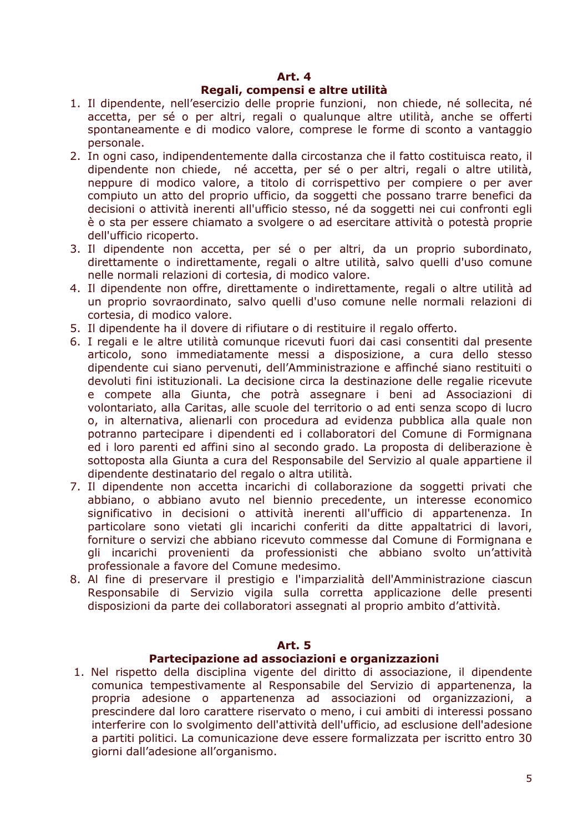## Regali, compensi e altre utilità

- 1. Il dipendente, nell'esercizio delle proprie funzioni, non chiede, né sollecita, né accetta, per sé o per altri, regali o qualunque altre utilità, anche se offerti spontaneamente e di modico valore, comprese le forme di sconto a vantaggio personale.
- 2. In ogni caso, indipendentemente dalla circostanza che il fatto costituisca reato, il dipendente non chiede, né accetta, per sé o per altri, regali o altre utilità, neppure di modico valore, a titolo di corrispettivo per compiere o per aver compiuto un atto del proprio ufficio, da soggetti che possano trarre benefici da decisioni o attività inerenti all'ufficio stesso, né da soggetti nei cui confronti egli è o sta per essere chiamato a svolgere o ad esercitare attività o potestà proprie dell'ufficio ricoperto.
- 3. Il dipendente non accetta, per sé o per altri, da un proprio subordinato, direttamente o indirettamente, regali o altre utilità, salvo quelli d'uso comune nelle normali relazioni di cortesia, di modico valore.
- 4. Il dipendente non offre, direttamente o indirettamente, regali o altre utilità ad un proprio sovraordinato, salvo quelli d'uso comune nelle normali relazioni di cortesia, di modico valore.
- 5. Il dipendente ha il dovere di rifiutare o di restituire il regalo offerto.
- 6. I regali e le altre utilità comunque ricevuti fuori dai casi consentiti dal presente articolo, sono immediatamente messi a disposizione, a cura dello stesso dipendente cui siano pervenuti, dell'Amministrazione e affinché siano restituiti o devoluti fini istituzionali. La decisione circa la destinazione delle regalie ricevute e compete alla Giunta, che potrà assegnare i beni ad Associazioni di volontariato, alla Caritas, alle scuole del territorio o ad enti senza scopo di lucro o, in alternativa, alienarli con procedura ad evidenza pubblica alla quale non potranno partecipare i dipendenti ed i collaboratori del Comune di Formignana ed i loro parenti ed affini sino al secondo grado. La proposta di deliberazione è sottoposta alla Giunta a cura del Responsabile del Servizio al quale appartiene il dipendente destinatario del regalo o altra utilità.
- 7. Il dipendente non accetta incarichi di collaborazione da soggetti privati che abbiano, o abbiano avuto nel biennio precedente, un interesse economico significativo in decisioni o attività inerenti all'ufficio di appartenenza. In particolare sono vietati gli incarichi conferiti da ditte appaltatrici di lavori, forniture o servizi che abbiano ricevuto commesse dal Comune di Formignana e gli incarichi provenienti da professionisti che abbiano svolto un'attività professionale a favore del Comune medesimo.
- 8. Al fine di preservare il prestigio e l'imparzialità dell'Amministrazione ciascun Responsabile di Servizio vigila sulla corretta applicazione delle presenti disposizioni da parte dei collaboratori assegnati al proprio ambito d'attività.

## **Art. 5**

## Partecipazione ad associazioni e organizzazioni

1. Nel rispetto della disciplina vigente del diritto di associazione, il dipendente comunica tempestivamente al Responsabile del Servizio di appartenenza, la propria adesione o appartenenza ad associazioni od organizzazioni, a prescindere dal loro carattere riservato o meno, i cui ambiti di interessi possano interferire con lo svolgimento dell'attività dell'ufficio, ad esclusione dell'adesione a partiti politici. La comunicazione deve essere formalizzata per iscritto entro 30 giorni dall'adesione all'organismo.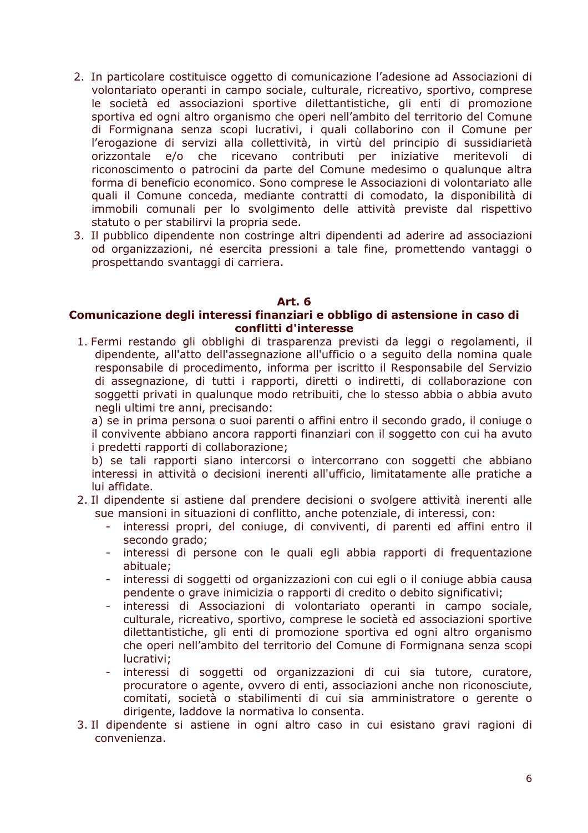- 2. In particolare costituisce oggetto di comunicazione l'adesione ad Associazioni di volontariato operanti in campo sociale, culturale, ricreativo, sportivo, comprese le società ed associazioni sportive dilettantistiche, gli enti di promozione sportiva ed ogni altro organismo che operi nell'ambito del territorio del Comune di Formignana senza scopi lucrativi, i quali collaborino con il Comune per l'erogazione di servizi alla collettività, in virtù del principio di sussidiarietà orizzontale e/o che ricevano contributi per iniziative meritevoli di riconoscimento o patrocini da parte del Comune medesimo o qualunque altra forma di beneficio economico. Sono comprese le Associazioni di volontariato alle quali il Comune conceda, mediante contratti di comodato, la disponibilità di immobili comunali per lo svolgimento delle attività previste dal rispettivo statuto o per stabilirvi la propria sede.
- 3. Il pubblico dipendente non costringe altri dipendenti ad aderire ad associazioni od organizzazioni, né esercita pressioni a tale fine, promettendo vantaggi o prospettando svantaggi di carriera.

#### Comunicazione degli interessi finanziari e obbligo di astensione in caso di conflitti d'interesse

1. Fermi restando gli obblighi di trasparenza previsti da leggi o regolamenti, il dipendente, all'atto dell'assegnazione all'ufficio o a seguito della nomina quale responsabile di procedimento, informa per iscritto il Responsabile del Servizio di assegnazione, di tutti i rapporti, diretti o indiretti, di collaborazione con soggetti privati in qualungue modo retribuiti, che lo stesso abbia o abbia avuto negli ultimi tre anni, precisando:

a) se in prima persona o suoi parenti o affini entro il secondo grado, il coniuge o il convivente abbiano ancora rapporti finanziari con il soggetto con cui ha avuto i predetti rapporti di collaborazione:

b) se tali rapporti siano intercorsi o intercorrano con soggetti che abbiano interessi in attività o decisioni inerenti all'ufficio, limitatamente alle pratiche a lui affidate.

- 2. Il dipendente si astiene dal prendere decisioni o svolgere attività inerenti alle sue mansioni in situazioni di conflitto, anche potenziale, di interessi, con:
	- interessi propri, del coniuge, di conviventi, di parenti ed affini entro il secondo grado;
	- interessi di persone con le quali egli abbia rapporti di frequentazione  $\Delta \sim 10^4$ abituale:
	- interessi di soggetti od organizzazioni con cui egli o il coniuge abbia causa  $\omega_{\rm{eff}}$ pendente o grave inimicizia o rapporti di credito o debito significativi;
	- interessi di Associazioni di volontariato operanti in campo sociale,  $\omega_{\rm{eff}}$ culturale, ricreativo, sportivo, comprese le società ed associazioni sportive dilettantistiche, gli enti di promozione sportiva ed ogni altro organismo che operi nell'ambito del territorio del Comune di Formignana senza scopi lucrativi:
	- interessi di soggetti od organizzazioni di cui sia tutore, curatore, procuratore o agente, ovvero di enti, associazioni anche non riconosciute, comitati, società o stabilimenti di cui sia amministratore o gerente o dirigente, laddove la normativa lo consenta.
- 3. Il dipendente si astiene in ogni altro caso in cui esistano gravi ragioni di convenienza.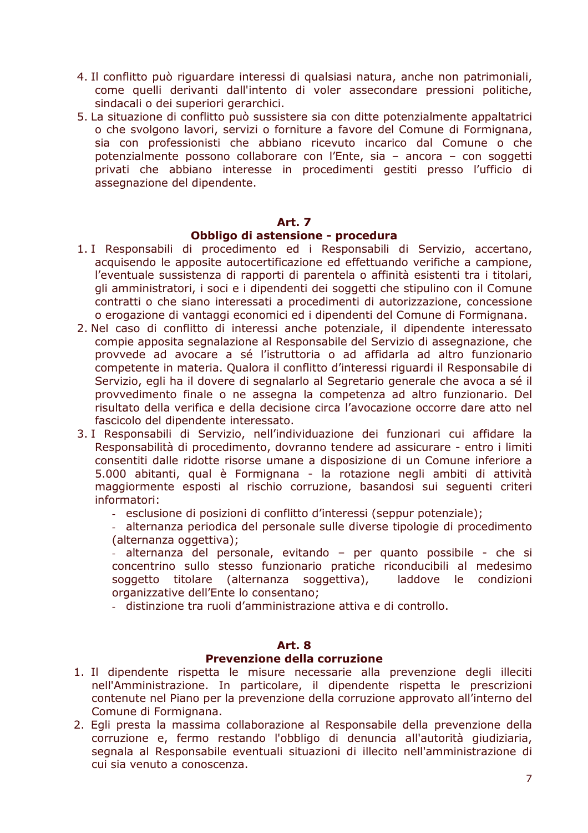- 4. Il conflitto può riguardare interessi di qualsiasi natura, anche non patrimoniali, come quelli derivanti dall'intento di voler assecondare pressioni politiche, sindacali o dei superiori gerarchici.
- 5. La situazione di conflitto può sussistere sia con ditte potenzialmente appaltatrici o che svolgono lavori, servizi o forniture a favore del Comune di Formignana, sia con professionisti che abbiano ricevuto incarico dal Comune o che potenzialmente possono collaborare con l'Ente, sia - ancora - con soggetti privati che abbiano interesse in procedimenti gestiti presso l'ufficio di assegnazione del dipendente.

## Obbligo di astensione - procedura

- 1. I Responsabili di procedimento ed i Responsabili di Servizio, accertano, acquisendo le apposite autocertificazione ed effettuando verifiche a campione, l'eventuale sussistenza di rapporti di parentela o affinità esistenti tra i titolari, gli amministratori, i soci e i dipendenti dei soggetti che stipulino con il Comune contratti o che siano interessati a procedimenti di autorizzazione, concessione o erogazione di vantaggi economici ed i dipendenti del Comune di Formignana.
- 2. Nel caso di conflitto di interessi anche potenziale, il dipendente interessato compie apposita segnalazione al Responsabile del Servizio di assegnazione, che provvede ad avocare a sé l'istruttoria o ad affidarla ad altro funzionario competente in materia. Qualora il conflitto d'interessi riguardi il Responsabile di Servizio, egli ha il dovere di segnalarlo al Segretario generale che avoca a sé il provvedimento finale o ne assegna la competenza ad altro funzionario. Del risultato della verifica e della decisione circa l'avocazione occorre dare atto nel fascicolo del dipendente interessato.
- 3. I Responsabili di Servizio, nell'individuazione dei funzionari cui affidare la Responsabilità di procedimento, dovranno tendere ad assicurare - entro i limiti consentiti dalle ridotte risorse umane a disposizione di un Comune inferiore a 5.000 abitanti, qual è Formignana - la rotazione negli ambiti di attività maggiormente esposti al rischio corruzione, basandosi sui seguenti criteri informatori:
	- esclusione di posizioni di conflitto d'interessi (seppur potenziale):
	- alternanza periodica del personale sulle diverse tipologie di procedimento (alternanza oggettiva);

- alternanza del personale, evitando - per quanto possibile - che si concentrino sullo stesso funzionario pratiche riconducibili al medesimo (alternanza soggetto titolare soggettiva), laddove le condizioni organizzative dell'Ente lo consentano:

- distinzione tra ruoli d'amministrazione attiva e di controllo.

## **Art. 8**

## Prevenzione della corruzione

- 1. Il dipendente rispetta le misure necessarie alla prevenzione degli illeciti nell'Amministrazione. In particolare, il dipendente rispetta le prescrizioni contenute nel Piano per la prevenzione della corruzione approvato all'interno del Comune di Formignana.
- 2. Egli presta la massima collaborazione al Responsabile della prevenzione della corruzione e, fermo restando l'obbligo di denuncia all'autorità giudiziaria, segnala al Responsabile eventuali situazioni di illecito nell'amministrazione di cui sia venuto a conoscenza.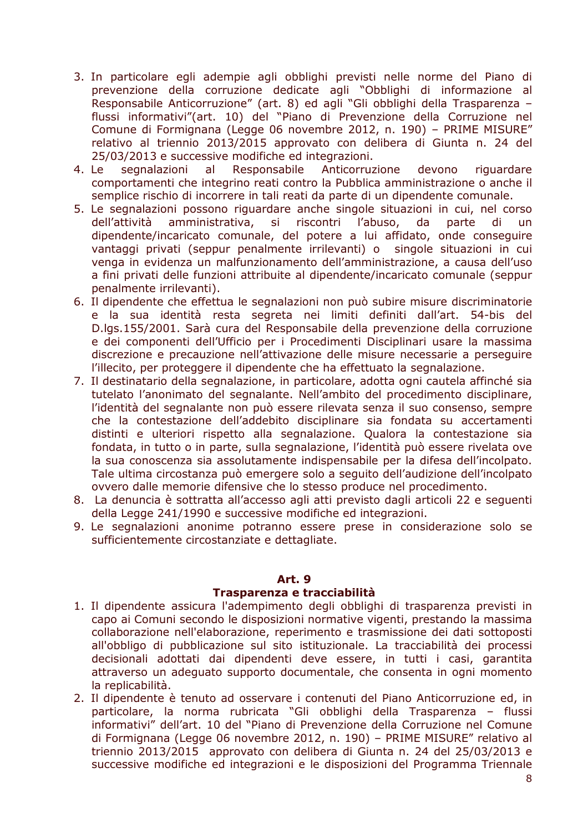- 3. In particolare egli adempie agli obblighi previsti nelle norme del Piano di prevenzione della corruzione dedicate agli "Obblighi di informazione al Responsabile Anticorruzione" (art. 8) ed agli "Gli obblighi della Trasparenza flussi informativi"(art. 10) del "Piano di Prevenzione della Corruzione nel Comune di Formignana (Legge 06 novembre 2012, n. 190) - PRIME MISURE" relativo al triennio 2013/2015 approvato con delibera di Giunta n. 24 del 25/03/2013 e successive modifiche ed integrazioni.
- $4.1e$ segnalazioni al Responsabile Anticorruzione devono riguardare comportamenti che integrino reati contro la Pubblica amministrazione o anche il semplice rischio di incorrere in tali reati da parte di un dipendente comunale.
- 5. Le segnalazioni possono riguardare anche singole situazioni in cui, nel corso dell'attività amministrativa, si riscontri l'abuso,  $da$ parte di **un** dipendente/incaricato comunale, del potere a lui affidato, onde conseguire vantaggi privati (seppur penalmente irrilevanti) o singole situazioni in cui venga in evidenza un malfunzionamento dell'amministrazione, a causa dell'uso a fini privati delle funzioni attribuite al dipendente/incaricato comunale (seppur penalmente irrilevanti).
- 6. Il dipendente che effettua le segnalazioni non può subire misure discriminatorie e la sua identità resta segreta nei limiti definiti dall'art. 54-bis del D.lgs.155/2001. Sarà cura del Responsabile della prevenzione della corruzione e dei componenti dell'Ufficio per i Procedimenti Disciplinari usare la massima discrezione e precauzione nell'attivazione delle misure necessarie a perseguire l'illecito, per proteggere il dipendente che ha effettuato la segnalazione.
- 7. Il destinatario della segnalazione, in particolare, adotta ogni cautela affinché sia tutelato l'anonimato del segnalante. Nell'ambito del procedimento disciplinare, l'identità del segnalante non può essere rilevata senza il suo consenso, sempre che la contestazione dell'addebito disciplinare sia fondata su accertamenti distinti e ulteriori rispetto alla segnalazione. Qualora la contestazione sia fondata, in tutto o in parte, sulla segnalazione, l'identità può essere rivelata ove la sua conoscenza sia assolutamente indispensabile per la difesa dell'incolpato. Tale ultima circostanza può emergere solo a seguito dell'audizione dell'incolpato ovvero dalle memorie difensive che lo stesso produce nel procedimento.
- 8. La denuncia è sottratta all'accesso agli atti previsto dagli articoli 22 e seguenti della Legge 241/1990 e successive modifiche ed integrazioni.
- 9. Le segnalazioni anonime potranno essere prese in considerazione solo se sufficientemente circostanziate e dettagliate.

#### **Art. 9** Trasparenza e tracciabilità

- 1. Il dipendente assicura l'adempimento degli obblighi di trasparenza previsti in capo ai Comuni secondo le disposizioni normative vigenti, prestando la massima collaborazione nell'elaborazione, reperimento e trasmissione dei dati sottoposti all'obbligo di pubblicazione sul sito istituzionale. La tracciabilità dei processi decisionali adottati dai dipendenti deve essere, in tutti i casi, garantita attraverso un adequato supporto documentale, che consenta in ogni momento la replicabilità.
- 2. Il dipendente è tenuto ad osservare i contenuti del Piano Anticorruzione ed, in particolare, la norma rubricata "Gli obblighi della Trasparenza - flussi informativi" dell'art. 10 del "Piano di Prevenzione della Corruzione nel Comune di Formignana (Legge 06 novembre 2012, n. 190) - PRIME MISURE" relativo al triennio 2013/2015 approvato con delibera di Giunta n. 24 del 25/03/2013 e successive modifiche ed integrazioni e le disposizioni del Programma Triennale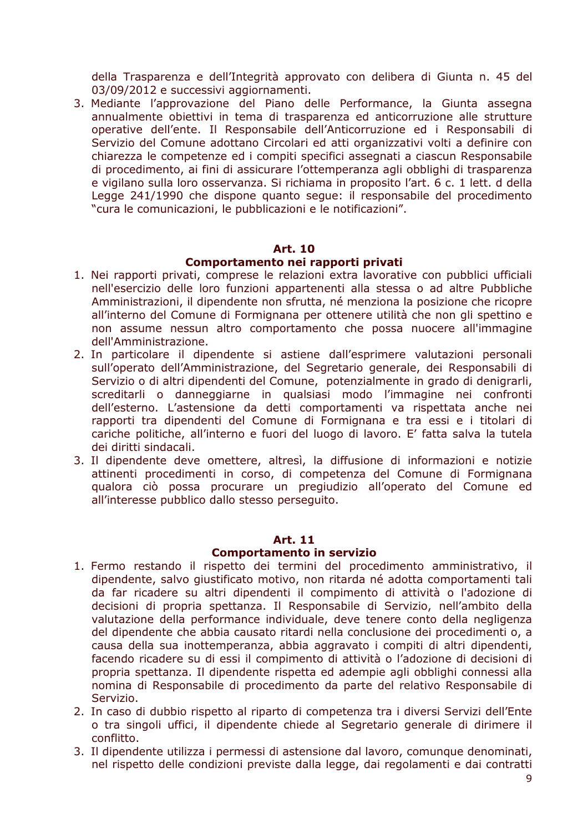della Trasparenza e dell'Integrità approvato con delibera di Giunta n. 45 del 03/09/2012 e successivi aggiornamenti.

3. Mediante l'approvazione del Piano delle Performance, la Giunta assegna annualmente obiettivi in tema di trasparenza ed anticorruzione alle strutture operative dell'ente. Il Responsabile dell'Anticorruzione ed i Responsabili di Servizio del Comune adottano Circolari ed atti organizzativi volti a definire con chiarezza le competenze ed i compiti specifici assegnati a ciascun Responsabile di procedimento, ai fini di assicurare l'ottemperanza agli obblighi di trasparenza e vigilano sulla loro osservanza. Si richiama in proposito l'art. 6 c. 1 lett. d della Legge 241/1990 che dispone quanto segue: il responsabile del procedimento "cura le comunicazioni, le pubblicazioni e le notificazioni".

## **Art. 10**

#### Comportamento nei rapporti privati

- 1. Nei rapporti privati, comprese le relazioni extra lavorative con pubblici ufficiali nell'esercizio delle loro funzioni appartenenti alla stessa o ad altre Pubbliche Amministrazioni, il dipendente non sfrutta, né menziona la posizione che ricopre all'interno del Comune di Formignana per ottenere utilità che non gli spettino e non assume nessun altro comportamento che possa nuocere all'immagine dell'Amministrazione.
- 2. In particolare il dipendente si astiene dall'esprimere valutazioni personali sull'operato dell'Amministrazione, del Segretario generale, dei Responsabili di Servizio o di altri dipendenti del Comune, potenzialmente in grado di denigrarli, screditarli o danneggiarne in qualsiasi modo l'immagine nei confronti dell'esterno. L'astensione da detti comportamenti va rispettata anche nei rapporti tra dipendenti del Comune di Formignana e tra essi e i titolari di cariche politiche, all'interno e fuori del luogo di lavoro. E' fatta salva la tutela dei diritti sindacali.
- 3. Il dipendente deve omettere, altresì, la diffusione di informazioni e notizie attinenti procedimenti in corso, di competenza del Comune di Formignana qualora ciò possa procurare un pregiudizio all'operato del Comune ed all'interesse pubblico dallo stesso perseguito.

### **Art. 11**

#### **Comportamento in servizio**

- 1. Fermo restando il rispetto dei termini del procedimento amministrativo, il dipendente, salvo giustificato motivo, non ritarda né adotta comportamenti tali da far ricadere su altri dipendenti il compimento di attività o l'adozione di decisioni di propria spettanza. Il Responsabile di Servizio, nell'ambito della valutazione della performance individuale, deve tenere conto della negligenza del dipendente che abbia causato ritardi nella conclusione dei procedimenti o, a causa della sua inottemperanza, abbia aggravato i compiti di altri dipendenti, facendo ricadere su di essi il compimento di attività o l'adozione di decisioni di propria spettanza. Il dipendente rispetta ed adempie agli obblighi connessi alla nomina di Responsabile di procedimento da parte del relativo Responsabile di Servizio.
- 2. In caso di dubbio rispetto al riparto di competenza tra i diversi Servizi dell'Ente o tra singoli uffici, il dipendente chiede al Segretario generale di dirimere il conflitto.
- 3. Il dipendente utilizza i permessi di astensione dal lavoro, comunque denominati, nel rispetto delle condizioni previste dalla legge, dai regolamenti e dai contratti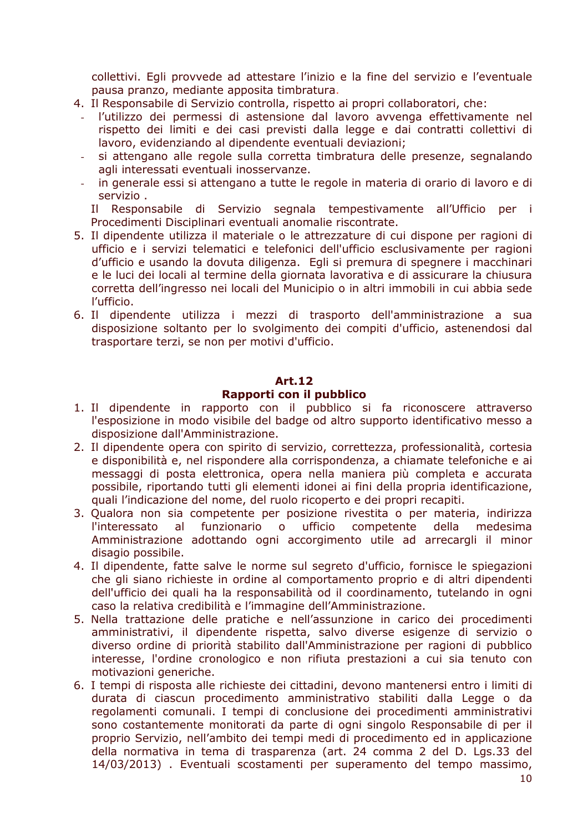collettivi. Egli provvede ad attestare l'inizio e la fine del servizio e l'eventuale pausa pranzo, mediante apposita timbratura.

- 4. Il Responsabile di Servizio controlla, rispetto ai propri collaboratori, che:
- l'utilizzo dei permessi di astensione dal lavoro avvenga effettivamente nel rispetto dei limiti e dei casi previsti dalla legge e dai contratti collettivi di lavoro, evidenziando al dipendente eventuali deviazioni;
- si attengano alle regole sulla corretta timbratura delle presenze, segnalando agli interessati eventuali inosservanze.
- in generale essi si attengano a tutte le regole in materia di orario di lavoro e di servizio.

Il Responsabile di Servizio segnala tempestivamente all'Ufficio per i Procedimenti Disciplinari eventuali anomalie riscontrate.

- 5. Il dipendente utilizza il materiale o le attrezzature di cui dispone per ragioni di ufficio e i servizi telematici e telefonici dell'ufficio esclusivamente per ragioni d'ufficio e usando la dovuta diligenza. Egli si premura di spegnere i macchinari e le luci dei locali al termine della giornata lavorativa e di assicurare la chiusura corretta dell'ingresso nei locali del Municipio o in altri immobili in cui abbia sede l'ufficio.
- 6. Il dipendente utilizza i mezzi di trasporto dell'amministrazione a sua disposizione soltanto per lo svolgimento dei compiti d'ufficio, astenendosi dal trasportare terzi, se non per motivi d'ufficio.

## **Art.12**

#### Rapporti con il pubblico

- 1. Il dipendente in rapporto con il pubblico si fa riconoscere attraverso l'esposizione in modo visibile del badge od altro supporto identificativo messo a disposizione dall'Amministrazione.
- 2. Il dipendente opera con spirito di servizio, correttezza, professionalità, cortesia e disponibilità e, nel rispondere alla corrispondenza, a chiamate telefoniche e ai messaggi di posta elettronica, opera nella maniera più completa e accurata possibile, riportando tutti gli elementi idonei ai fini della propria identificazione, guali l'indicazione del nome, del ruolo ricoperto e dei propri recapiti.
- 3. Qualora non sia competente per posizione rivestita o per materia, indirizza l'interessato al funzionario o ufficio competente della medesima Amministrazione adottando ogni accorgimento utile ad arrecargli il minor disagio possibile.
- 4. Il dipendente, fatte salve le norme sul segreto d'ufficio, fornisce le spiegazioni che gli siano richieste in ordine al comportamento proprio e di altri dipendenti dell'ufficio dei quali ha la responsabilità od il coordinamento, tutelando in ogni caso la relativa credibilità e l'immagine dell'Amministrazione.
- 5. Nella trattazione delle pratiche e nell'assunzione in carico dei procedimenti amministrativi, il dipendente rispetta, salvo diverse esigenze di servizio o diverso ordine di priorità stabilito dall'Amministrazione per ragioni di pubblico interesse, l'ordine cronologico e non rifiuta prestazioni a cui sia tenuto con motivazioni generiche.
- 6. I tempi di risposta alle richieste dei cittadini, devono mantenersi entro i limiti di durata di ciascun procedimento amministrativo stabiliti dalla Legge o da regolamenti comunali. I tempi di conclusione dei procedimenti amministrativi sono costantemente monitorati da parte di ogni singolo Responsabile di per il proprio Servizio, nell'ambito dei tempi medi di procedimento ed in applicazione della normativa in tema di trasparenza (art. 24 comma 2 del D. Lgs.33 del 14/03/2013) . Eventuali scostamenti per superamento del tempo massimo,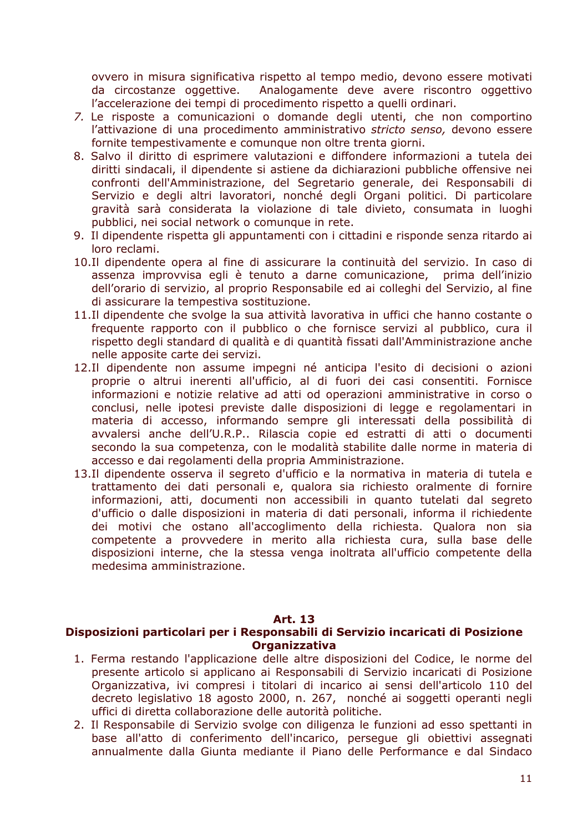ovvero in misura significativa rispetto al tempo medio, devono essere motivati da circostanze oggettive. Analogamente deve avere riscontro oggettivo l'accelerazione dei tempi di procedimento rispetto a quelli ordinari.

- 7. Le risposte a comunicazioni o domande degli utenti, che non comportino l'attivazione di una procedimento amministrativo *stricto senso,* devono essere fornite tempestivamente e comunque non oltre trenta giorni.
- 8. Salvo il diritto di esprimere valutazioni e diffondere informazioni a tutela dei diritti sindacali, il dipendente si astiene da dichiarazioni pubbliche offensive nei confronti dell'Amministrazione, del Segretario generale, dei Responsabili di Servizio e degli altri lavoratori, nonché degli Organi politici. Di particolare gravità sarà considerata la violazione di tale divieto, consumata in luoghi pubblici, nei social network o comunque in rete.
- 9. Il dipendente rispetta gli appuntamenti con i cittadini e risponde senza ritardo ai loro reclami.
- 10.Il dipendente opera al fine di assicurare la continuità del servizio. In caso di assenza improvvisa egli è tenuto a darne comunicazione, prima dell'inizio dell'orario di servizio, al proprio Responsabile ed ai colleghi del Servizio, al fine di assicurare la tempestiva sostituzione.
- 11.Il dipendente che svolge la sua attività lavorativa in uffici che hanno costante o frequente rapporto con il pubblico o che fornisce servizi al pubblico, cura il rispetto degli standard di qualità e di quantità fissati dall'Amministrazione anche nelle apposite carte dei servizi.
- 12.Il dipendente non assume impegni né anticipa l'esito di decisioni o azioni proprie o altrui inerenti all'ufficio, al di fuori dei casi consentiti. Fornisce informazioni e notizie relative ad atti od operazioni amministrative in corso o conclusi, nelle ipotesi previste dalle disposizioni di legge e regolamentari in materia di accesso, informando sempre gli interessati della possibilità di avvalersi anche dell'U.R.P.. Rilascia copie ed estratti di atti o documenti secondo la sua competenza, con le modalità stabilite dalle norme in materia di accesso e dai regolamenti della propria Amministrazione.
- 13.Il dipendente osserva il segreto d'ufficio e la normativa in materia di tutela e trattamento dei dati personali e, qualora sia richiesto oralmente di fornire informazioni, atti, documenti non accessibili in quanto tutelati dal segreto d'ufficio o dalle disposizioni in materia di dati personali, informa il richiedente dei motivi che ostano all'accoglimento della richiesta. Qualora non sia competente a provvedere in merito alla richiesta cura, sulla base delle disposizioni interne, che la stessa venga inoltrata all'ufficio competente della medesima amministrazione.

## **Art. 13**

## Disposizioni particolari per i Responsabili di Servizio incaricati di Posizione **Organizzativa**

- 1. Ferma restando l'applicazione delle altre disposizioni del Codice, le norme del presente articolo si applicano ai Responsabili di Servizio incaricati di Posizione Organizzativa, ivi compresi i titolari di incarico ai sensi dell'articolo 110 del decreto legislativo 18 agosto 2000, n. 267, nonché ai soggetti operanti negli uffici di diretta collaborazione delle autorità politiche.
- 2. Il Responsabile di Servizio svolge con diligenza le funzioni ad esso spettanti in base all'atto di conferimento dell'incarico, persegue gli obiettivi assegnati annualmente dalla Giunta mediante il Piano delle Performance e dal Sindaco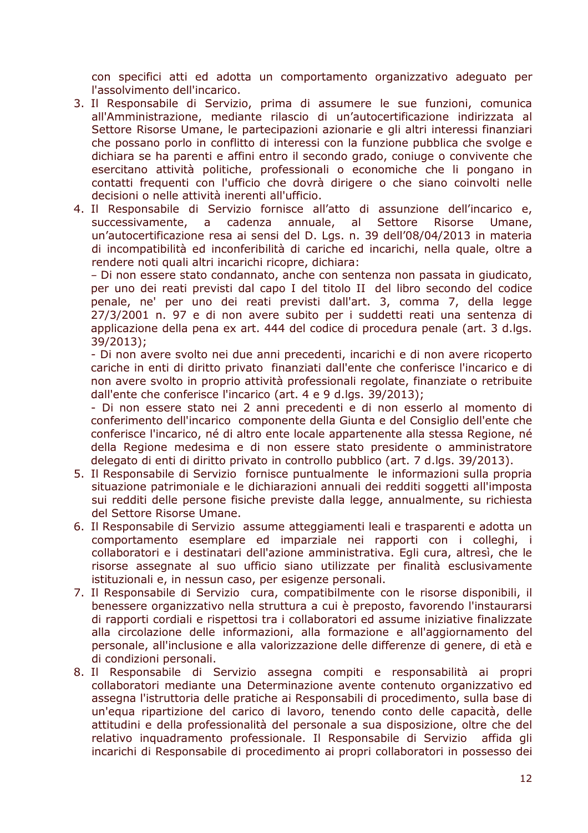con specifici atti ed adotta un comportamento organizzativo adequato per l'assolvimento dell'incarico.

- 3. Il Responsabile di Servizio, prima di assumere le sue funzioni, comunica all'Amministrazione, mediante rilascio di un'autocertificazione indirizzata al Settore Risorse Umane, le partecipazioni azionarie e gli altri interessi finanziari che possano porlo in conflitto di interessi con la funzione pubblica che svolge e dichiara se ha parenti e affini entro il secondo grado, coniuge o convivente che esercitano attività politiche, professionali o economiche che li pongano in contatti frequenti con l'ufficio che dovrà dirigere o che siano coinvolti nelle decisioni o nelle attività inerenti all'ufficio.
- 4. Il Responsabile di Servizio fornisce all'atto di assunzione dell'incarico e, successivamente,  $\mathsf{a}$ cadenza annuale, al Settore Risorse Umane, un'autocertificazione resa ai sensi del D. Lgs. n. 39 dell'08/04/2013 in materia di incompatibilità ed inconferibilità di cariche ed incarichi, nella quale, oltre a rendere noti quali altri incarichi ricopre, dichiara:

- Di non essere stato condannato, anche con sentenza non passata in giudicato, per uno dei reati previsti dal capo I del titolo II del libro secondo del codice penale, ne' per uno dei reati previsti dall'art. 3, comma 7, della legge 27/3/2001 n. 97 e di non avere subito per i suddetti reati una sentenza di applicazione della pena ex art. 444 del codice di procedura penale (art. 3 d.lgs.  $39/2013$ :

- Di non avere svolto nei due anni precedenti, incarichi e di non avere ricoperto cariche in enti di diritto privato finanziati dall'ente che conferisce l'incarico e di non avere svolto in proprio attività professionali regolate, finanziate o retribuite dall'ente che conferisce l'incarico (art. 4 e 9 d.lgs. 39/2013);

- Di non essere stato nei 2 anni precedenti e di non esserlo al momento di conferimento dell'incarico componente della Giunta e del Consiglio dell'ente che conferisce l'incarico, né di altro ente locale appartenente alla stessa Regione, né della Regione medesima e di non essere stato presidente o amministratore delegato di enti di diritto privato in controllo pubblico (art. 7 d.lgs. 39/2013).

- 5. Il Responsabile di Servizio fornisce puntualmente le informazioni sulla propria situazione patrimoniale e le dichiarazioni annuali dei redditi soggetti all'imposta sui redditi delle persone fisiche previste dalla legge, annualmente, su richiesta del Settore Risorse Umane.
- 6. Il Responsabile di Servizio assume atteggiamenti leali e trasparenti e adotta un comportamento esemplare ed imparziale nei rapporti con i colleghi, i collaboratori e i destinatari dell'azione amministrativa. Egli cura, altresì, che le risorse assegnate al suo ufficio siano utilizzate per finalità esclusivamente istituzionali e, in nessun caso, per esigenze personali.
- 7. Il Responsabile di Servizio cura, compatibilmente con le risorse disponibili, il benessere organizzativo nella struttura a cui è preposto, favorendo l'instaurarsi di rapporti cordiali e rispettosi tra i collaboratori ed assume iniziative finalizzate alla circolazione delle informazioni, alla formazione e all'aggiornamento del personale, all'inclusione e alla valorizzazione delle differenze di genere, di età e di condizioni personali.
- 8. Il Responsabile di Servizio assegna compiti e responsabilità ai propri collaboratori mediante una Determinazione avente contenuto organizzativo ed assegna l'istruttoria delle pratiche ai Responsabili di procedimento, sulla base di un'equa ripartizione del carico di lavoro, tenendo conto delle capacità, delle attitudini e della professionalità del personale a sua disposizione, oltre che del relativo inquadramento professionale. Il Responsabile di Servizio affida gli incarichi di Responsabile di procedimento ai propri collaboratori in possesso dei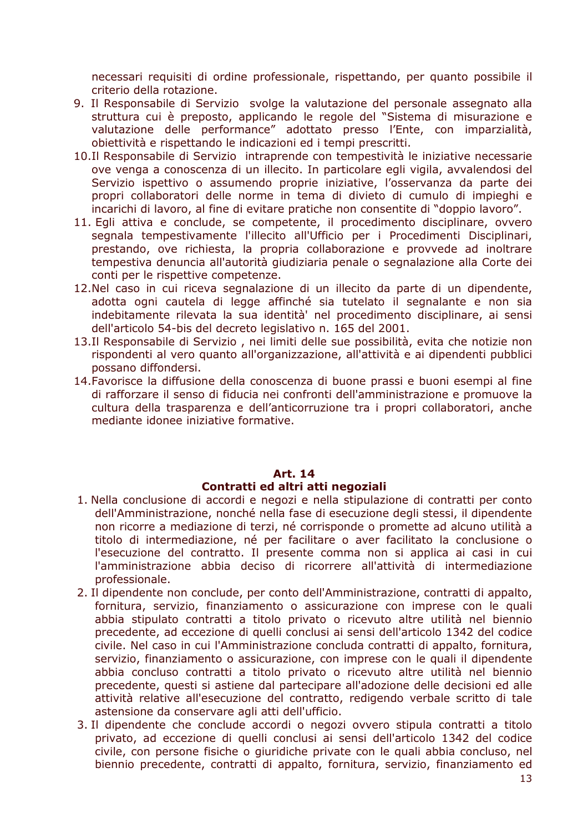necessari requisiti di ordine professionale, rispettando, per quanto possibile il criterio della rotazione.

- 9. Il Responsabile di Servizio svolge la valutazione del personale assegnato alla struttura cui è preposto, applicando le regole del "Sistema di misurazione e valutazione delle performance" adottato presso l'Ente, con imparzialità, obiettività e rispettando le indicazioni ed i tempi prescritti.
- 10.Il Responsabile di Servizio intraprende con tempestività le iniziative necessarie ove venga a conoscenza di un illecito. In particolare egli vigila, avvalendosi del Servizio ispettivo o assumendo proprie iniziative, l'osservanza da parte dei propri collaboratori delle norme in tema di divieto di cumulo di impieghi e incarichi di lavoro, al fine di evitare pratiche non consentite di "doppio lavoro".
- 11. Egli attiva e conclude, se competente, il procedimento disciplinare, ovvero segnala tempestivamente l'illecito all'Ufficio per i Procedimenti Disciplinari, prestando, ove richiesta, la propria collaborazione e provvede ad inoltrare tempestiva denuncia all'autorità giudiziaria penale o segnalazione alla Corte dei conti per le rispettive competenze.
- 12. Nel caso in cui riceva segnalazione di un illecito da parte di un dipendente, adotta ogni cautela di legge affinché sia tutelato il segnalante e non sia indebitamente rilevata la sua identità nel procedimento disciplinare, ai sensi dell'articolo 54-bis del decreto legislativo n. 165 del 2001.
- 13.Il Responsabile di Servizio, nei limiti delle sue possibilità, evita che notizie non rispondenti al vero quanto all'organizzazione, all'attività e ai dipendenti pubblici possano diffondersi.
- 14. Favorisce la diffusione della conoscenza di buone prassi e buoni esempi al fine di rafforzare il senso di fiducia nei confronti dell'amministrazione e promuove la cultura della trasparenza e dell'anticorruzione tra i propri collaboratori, anche mediante idonee iniziative formative.

## **Art. 14**

## Contratti ed altri atti negoziali

- 1. Nella conclusione di accordi e negozi e nella stipulazione di contratti per conto dell'Amministrazione, nonché nella fase di esecuzione degli stessi, il dipendente non ricorre a mediazione di terzi, né corrisponde o promette ad alcuno utilità a titolo di intermediazione, né per facilitare o aver facilitato la conclusione o l'esecuzione del contratto. Il presente comma non si applica ai casi in cui l'amministrazione abbia deciso di ricorrere all'attività di intermediazione professionale.
- 2. Il dipendente non conclude, per conto dell'Amministrazione, contratti di appalto, fornitura, servizio, finanziamento o assicurazione con imprese con le quali abbia stipulato contratti a titolo privato o ricevuto altre utilità nel biennio precedente, ad eccezione di quelli conclusi ai sensi dell'articolo 1342 del codice civile. Nel caso in cui l'Amministrazione concluda contratti di appalto, fornitura, servizio, finanziamento o assicurazione, con imprese con le quali il dipendente abbia concluso contratti a titolo privato o ricevuto altre utilità nel biennio precedente, questi si astiene dal partecipare all'adozione delle decisioni ed alle attività relative all'esecuzione del contratto, redigendo verbale scritto di tale astensione da conservare agli atti dell'ufficio.
- 3. Il dipendente che conclude accordi o negozi ovvero stipula contratti a titolo privato, ad eccezione di quelli conclusi ai sensi dell'articolo 1342 del codice civile, con persone fisiche o giuridiche private con le quali abbia concluso, nel biennio precedente, contratti di appalto, fornitura, servizio, finanziamento ed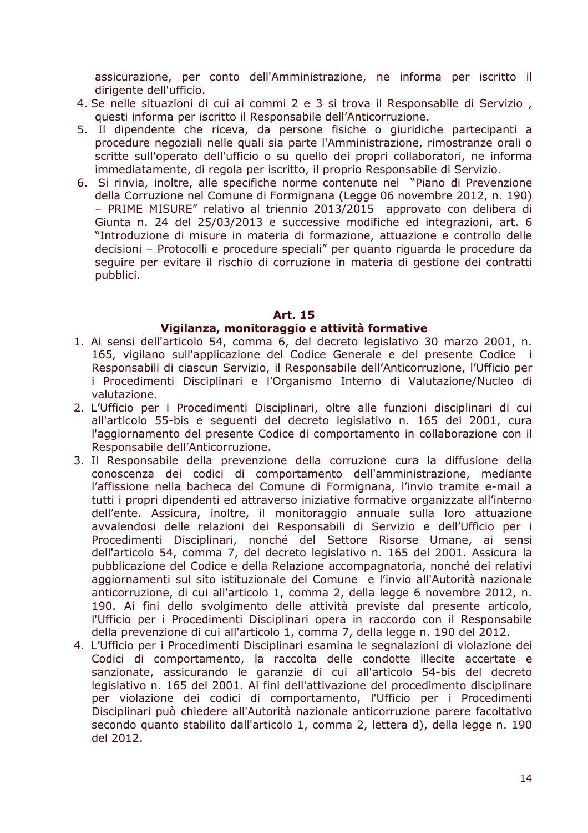assicurazione, per conto dell'Amministrazione, ne informa per iscritto il dirigente dell'ufficio.

- 4. Se nelle situazioni di cui ai commi 2 e 3 si trova il Responsabile di Servizio, questi informa per iscritto il Responsabile dell'Anticorruzione.
- 5. Il dipendente che riceva, da persone fisiche o giuridiche partecipanti a procedure negoziali nelle quali sia parte l'Amministrazione, rimostranze orali o scritte sull'operato dell'ufficio o su quello dei propri collaboratori, ne informa immediatamente, di regola per iscritto, il proprio Responsabile di Servizio.
- 6. Si rinvia, inoltre, alle specifiche norme contenute nel "Piano di Prevenzione della Corruzione nel Comune di Formignana (Legge 06 novembre 2012, n. 190) - PRIME MISURE" relativo al triennio 2013/2015 approvato con delibera di Giunta n. 24 del 25/03/2013 e successive modifiche ed integrazioni, art. 6 "Introduzione di misure in materia di formazione, attuazione e controllo delle decisioni - Protocolli e procedure speciali" per quanto riguarda le procedure da sequire per evitare il rischio di corruzione in materia di gestione dei contratti pubblici.

## **Art. 15**

#### Vigilanza, monitoraggio e attività formative

- 1. Ai sensi dell'articolo 54, comma 6, del decreto legislativo 30 marzo 2001, n. 165, vigilano sull'applicazione del Codice Generale e del presente Codice i Responsabili di ciascun Servizio, il Responsabile dell'Anticorruzione, l'Ufficio per i Procedimenti Disciplinari e l'Organismo Interno di Valutazione/Nucleo di valutazione.
- 2. L'Ufficio per i Procedimenti Disciplinari, oltre alle funzioni disciplinari di cui all'articolo 55-bis e seguenti del decreto legislativo n. 165 del 2001, cura l'aggiornamento del presente Codice di comportamento in collaborazione con il Responsabile dell'Anticorruzione.
- 3. Il Responsabile della prevenzione della corruzione cura la diffusione della conoscenza dei codici di comportamento dell'amministrazione, mediante l'affissione nella bacheca del Comune di Formignana, l'invio tramite e-mail a tutti i propri dipendenti ed attraverso iniziative formative organizzate all'interno dell'ente. Assicura, inoltre, il monitoraggio annuale sulla loro attuazione avvalendosi delle relazioni dei Responsabili di Servizio e dell'Ufficio per i Procedimenti Disciplinari, nonché del Settore Risorse Umane, ai sensi dell'articolo 54, comma 7, del decreto legislativo n. 165 del 2001. Assicura la pubblicazione del Codice e della Relazione accompagnatoria, nonché dei relativi aggiornamenti sul sito istituzionale del Comune e l'invio all'Autorità nazionale anticorruzione, di cui all'articolo 1, comma 2, della legge 6 novembre 2012, n. 190. Ai fini dello svolgimento delle attività previste dal presente articolo, l'Ufficio per i Procedimenti Disciplinari opera in raccordo con il Responsabile della prevenzione di cui all'articolo 1, comma 7, della legge n. 190 del 2012.
- 4. L'Ufficio per i Procedimenti Disciplinari esamina le segnalazioni di violazione dei Codici di comportamento, la raccolta delle condotte illecite accertate e sanzionate, assicurando le garanzie di cui all'articolo 54-bis del decreto legislativo n. 165 del 2001. Ai fini dell'attivazione del procedimento disciplinare per violazione dei codici di comportamento, l'Ufficio per i Procedimenti Disciplinari può chiedere all'Autorità nazionale anticorruzione parere facoltativo secondo quanto stabilito dall'articolo 1, comma 2, lettera d), della legge n. 190 del 2012.